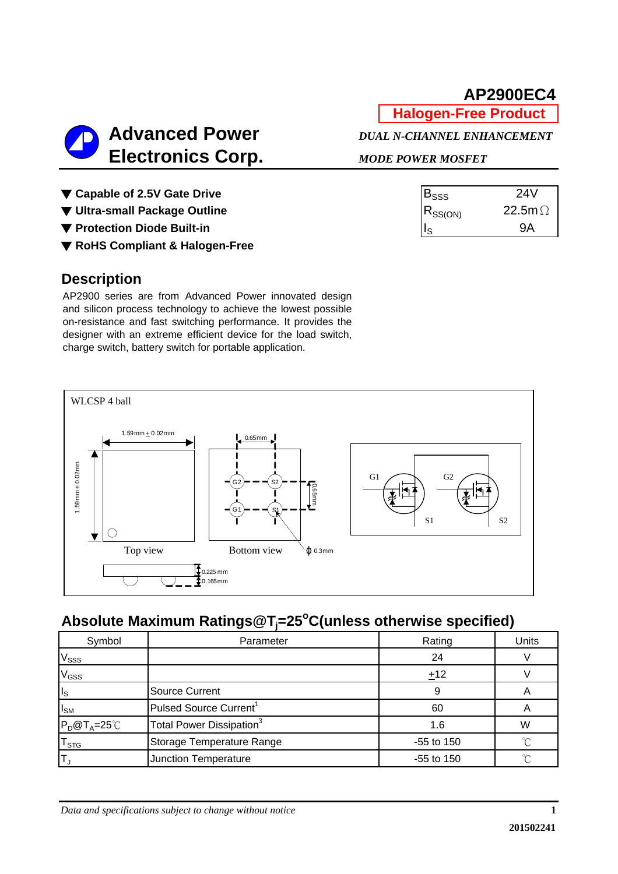**Halogen-Free Product**

**Advanced Power** *DUAL N-CHANNEL ENHANCEMENT* 

| $E_{SSS}$    | 24V            |  |
|--------------|----------------|--|
| $R_{SS(ON)}$ | 22.5m $\Omega$ |  |
|              | QΔ             |  |

 **Electronics Corp.** *MODE POWER MOSFET*

▼ Capable of 2.5V Gate Drive

▼ Ultra-small Package Outline

▼ Protection Diode Built-in

▼ **RoHS Compliant & Halogen-Free**

### **Description**

AP2900 series are from Advanced Power innovated design and silicon process technology to achieve the lowest possible on-resistance and fast switching performance. It provides the designer with an extreme efficient device for the load switch, charge switch, battery switch for portable application.



# **Absolute Maximum Ratings@Tj =25o C(unless otherwise specified)**

| Symbol                      | Parameter                            | Rating       | Units |
|-----------------------------|--------------------------------------|--------------|-------|
| V <sub>SSS</sub>            |                                      | 24           |       |
| V <sub>GSS</sub>            |                                      | ±12          |       |
| $II_{S}$                    | <b>Source Current</b>                | 9            |       |
| $I_{SM}$                    | Pulsed Source Current <sup>1</sup>   | 60           |       |
| $P_D@T_A=25^{\circ}C$       | Total Power Dissipation <sup>3</sup> | 1.6          | W     |
| $\mathsf{T}_{\texttt{STG}}$ | Storage Temperature Range            | $-55$ to 150 |       |
| 'Τ.                         | Junction Temperature                 | -55 to 150   |       |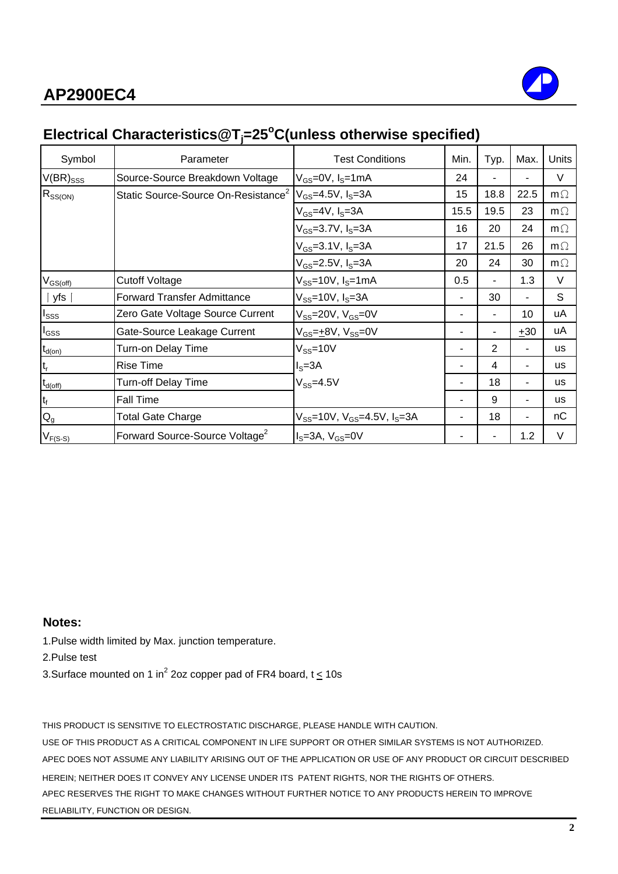

# **Electrical Characteristics@Tj =25o C(unless otherwise specified)**

| Symbol              | Parameter                                       | <b>Test Conditions</b>                             | Min. | Typ. | Max.  | <b>Units</b> |
|---------------------|-------------------------------------------------|----------------------------------------------------|------|------|-------|--------------|
| $V(BR)_{SSS}$       | Source-Source Breakdown Voltage                 | $V_{GS}$ =0V, $I_S$ =1mA                           | 24   |      |       | V            |
| $R_{SS(ON)}$        | Static Source-Source On-Resistance <sup>2</sup> | $V_{GS} = 4.5V$ , $I_S = 3A$                       | 15   | 18.8 | 22.5  | $m\Omega$    |
|                     |                                                 | V <sub>GS</sub> =4V, I <sub>S</sub> =3A            | 15.5 | 19.5 | 23    | $m\Omega$    |
|                     |                                                 | $V_{GS}$ =3.7V, $I_S$ =3A                          | 16   | 20   | 24    | $m\Omega$    |
|                     |                                                 | $V_{GS} = 3.1 V, I_S = 3A$                         | 17   | 21.5 | 26    | $m\Omega$    |
|                     |                                                 | $V_{GS}$ =2.5V, $I_S$ =3A                          | 20   | 24   | 30    | $m\Omega$    |
| $V_{GS(off)}$       | <b>Cutoff Voltage</b>                           | $V_{SS}$ =10V, l <sub>S</sub> =1mA                 | 0.5  | ۰    | 1.3   | V            |
| $\vert$ yfs $\vert$ | <b>Forward Transfer Admittance</b>              | $V_{SS}$ =10V, $I_S$ =3A                           |      | 30   | ۰     | S            |
| $I_{SSS}$           | Zero Gate Voltage Source Current                | $V_{SS}$ =20V, $V_{GS}$ =0V                        |      |      | 10    | uA           |
| $I_{GSS}$           | Gate-Source Leakage Current                     | V <sub>GS</sub> = <u>+</u> 8V, V <sub>SS</sub> =0V |      | ۰    | $+30$ | uA           |
| $t_{d(on)}$         | Turn-on Delay Time                              | $V_{SS}$ =10V                                      |      | 2    | ٠     | <b>us</b>    |
| $t_r$               | <b>Rise Time</b>                                | $IS=3A$                                            |      | 4    | ۰     | <b>us</b>    |
| $t_{d(\text{off})}$ | Turn-off Delay Time                             | $V_{SS} = 4.5V$                                    |      | 18   | ٠     | <b>us</b>    |
| $t_f$               | <b>Fall Time</b>                                |                                                    |      | 9    | ۰     | us           |
| $Q_{g}$             | <b>Total Gate Charge</b>                        | $V_{SS}$ =10V, $V_{GS}$ =4.5V, $I_S$ =3A           |      | 18   | Ξ.    | nC           |
| $V_{F(S-S)}$        | Forward Source-Source Voltage <sup>2</sup>      | $IS=3A, VGS=0V$                                    |      |      | 1.2   | $\vee$       |

#### **Notes:**

1.Pulse width limited by Max. junction temperature.

2.Pulse test

3.Surface mounted on 1 in<sup>2</sup> 2oz copper pad of FR4 board, t  $\leq$  10s

THIS PRODUCT IS SENSITIVE TO ELECTROSTATIC DISCHARGE, PLEASE HANDLE WITH CAUTION.

USE OF THIS PRODUCT AS A CRITICAL COMPONENT IN LIFE SUPPORT OR OTHER SIMILAR SYSTEMS IS NOT AUTHORIZED. APEC DOES NOT ASSUME ANY LIABILITY ARISING OUT OF THE APPLICATION OR USE OF ANY PRODUCT OR CIRCUIT DESCRIBED HEREIN; NEITHER DOES IT CONVEY ANY LICENSE UNDER ITS PATENT RIGHTS, NOR THE RIGHTS OF OTHERS. APEC RESERVES THE RIGHT TO MAKE CHANGES WITHOUT FURTHER NOTICE TO ANY PRODUCTS HEREIN TO IMPROVE RELIABILITY, FUNCTION OR DESIGN.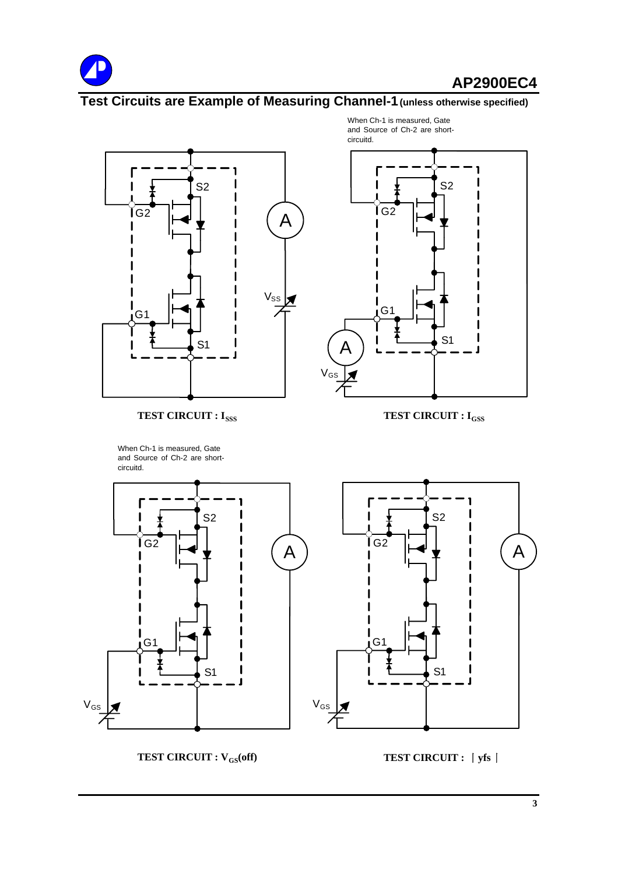

# **Test Circuits are Example of Measuring Channel-1(unless otherwise specified)**



**TEST CIRCUIT : I<sub>SSS</sub> TEST CIRCUIT : I<sub>GSS</sub>** 

When Ch-1 is measured, Gate and Source of Ch-2 are shortcircuitd.

A  $\sqrt{ }$ G1 G2 S1 S2 circuitd.

When Ch-1 is measured, Gate and Source of Ch-2 are short-



**TEST CIRCUIT : V<sub>GS</sub>(off) TEST CIRCUIT :**  $\int y f s$  **|**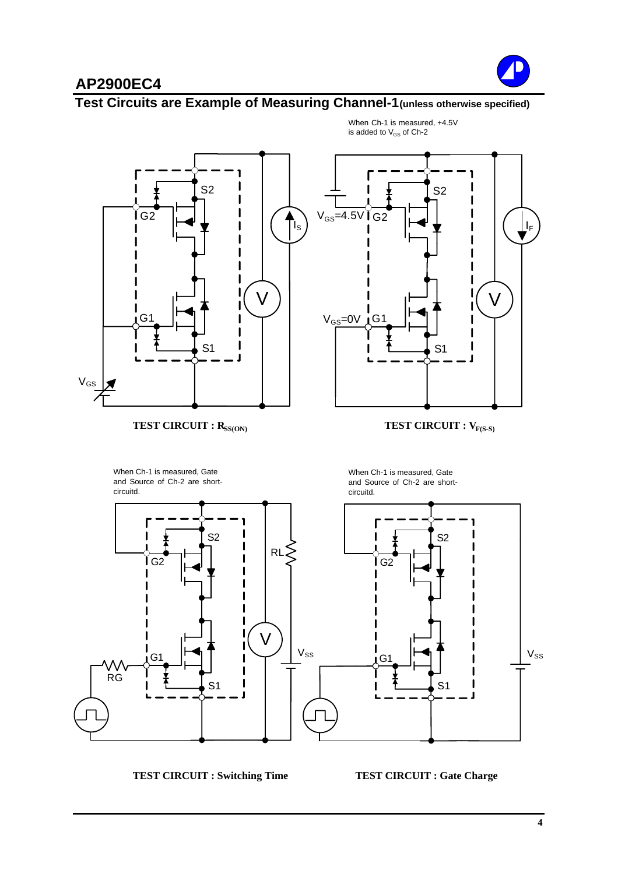

#### **Test Circuits are Example of Measuring Channel-1(unless otherwise specified)**



When Ch-1 is measured, +4.5V is added to  $V_{GS}$  of Ch-2

**TEST CIRCUIT : Switching Time TEST CIRCUIT : Gate Charge**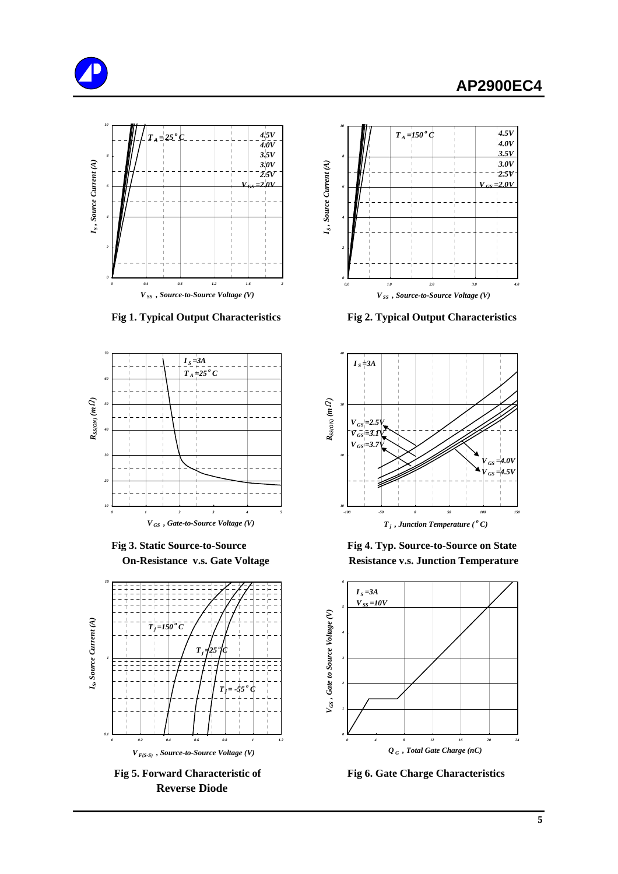







 **Reverse Diode**



 **Fig 1. Typical Output Characteristics Fig 2. Typical Output Characteristics**



 **Fig 3. Static Source-to-Source Fig 4. Typ. Source-to-Source on State On-Resistance v.s. Gate Voltage Resistance v.s. Junction Temperature** 



**Fig 5. Forward Characteristic of Fig 6. Gate Charge Characteristics**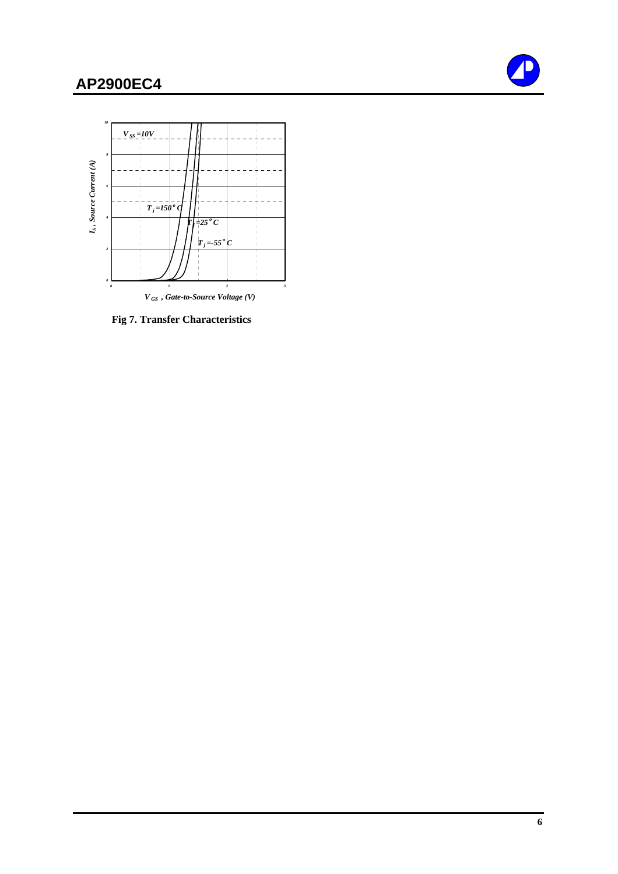



 **Fig 7. Transfer Characteristics**